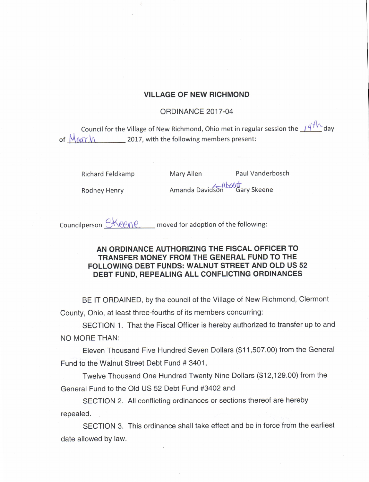## VILLAGE OF NEW RICHMOND

## ORDINANCE 2017-04

Council for the Village of New Richmond, Ohio met in regular session the <u>14 We</u> day of  $M_{\text{A}Y}$   $M_{\text{A}Y}$  2017, with the following members present:

Richard Feldkamp Mary Allen Paul Vanderbosch

Rodney Henry **Amanda Davidson** Gary Skeene

Councilperson  $\Im \text{Kep}$  moved for adoption of the following:

## AN ORDINANCE AUTHORIZING THE FISCAL OFFICER TO TRANSFER MONEY FROM THE GENERAL FUND TO THE FOLLOWING DEBT FUNDS: WALNUT STREET AND OLD US 52 DEBT FUND, REPEALING ALL CONFLICTING ORDINANCES

BE IT ORDAINED, by the council of the Village of New Richmond, Clermont County, Ohio, at least three-fourths of its members concurring:

SECTION 1. That the Fiscal Officer is hereby authorized to transfer up to and NO MORE THAN:

Eleven Thousand Five Hundred Seven Dollars (\$11,507.00) from the General Fund to the Walnut Street Debt Fund # 3401,

Twelve Thousand One Hundred Twenty Nine Dollars (\$12,129.00) from the General Fund to the Old US 52 Debt Fund #3402 and

SECTION 2. All conflicting ordinances or sections thereof are hereby repealed.

SECTION 3. This ordinance shall take effect and be in force from the earliest date allowed by law.